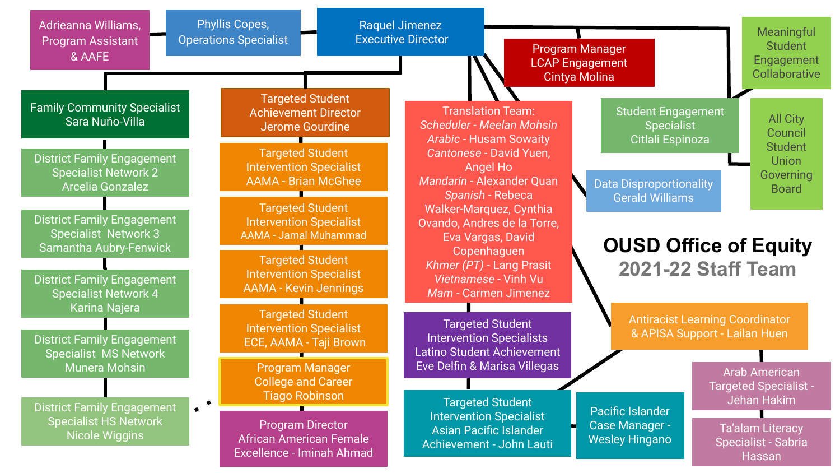